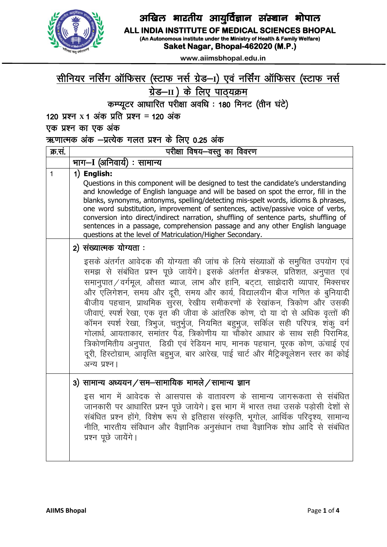

### अखिल भारतीय आयुर्विज्ञान संस्थान भोपाल ALL INDIA INSTITUTE OF MEDICAL SCIENCES BHOPAL

(An Autonomous institute under the Ministry of Health & Family Welfare)

Saket Nagar, Bhopal-462020 (M.P.)

www.aiimsbhopal.edu.in

# सीनियर नर्सिंग ऑफिसर (स्टाफ नर्स ग्रेड–1) एवं नर्सिंग ऑफिसर (स्टाफ नर्स <u>ग्रेड-II) के लिए पाठ्यक्रम</u>

कम्प्यूटर आधारित परीक्षा अवधि : 180 मिनट (तीन घंटे)

120 प्रश्न x 1 अंक प्रति प्रश्न = 120 अंक

एक प्रश्न का एक अंक

### ऋणात्मक अंक -प्रत्येक गलत प्रश्न के लिए 0.25 अंक

| क्र.सं. | परीक्षा विषय-वस्तु का विवरण                                                                                                                                                                                                                                                                                                                                                                                                                                                                                                                                                                                                                                                                                                                                   |  |  |
|---------|---------------------------------------------------------------------------------------------------------------------------------------------------------------------------------------------------------------------------------------------------------------------------------------------------------------------------------------------------------------------------------------------------------------------------------------------------------------------------------------------------------------------------------------------------------------------------------------------------------------------------------------------------------------------------------------------------------------------------------------------------------------|--|--|
|         | भाग–I (अनिवार्य) : सामान्य                                                                                                                                                                                                                                                                                                                                                                                                                                                                                                                                                                                                                                                                                                                                    |  |  |
| 1       | 1) English:<br>Questions in this component will be designed to test the candidate's understanding<br>and knowledge of English language and will be based on spot the error, fill in the<br>blanks, synonyms, antonyms, spelling/detecting mis-spelt words, idioms & phrases,<br>one word substitution, improvement of sentences, active/passive voice of verbs,<br>conversion into direct/indirect narration, shuffling of sentence parts, shuffling of<br>sentences in a passage, comprehension passage and any other English language<br>questions at the level of Matriculation/Higher Secondary.                                                                                                                                                          |  |  |
|         | 2) संख्यात्मक योग्यता :<br>इसके अंतर्गत आवेदक की योग्यता की जांच के लिये संख्याओं के समुचित उपयोग एवं<br>समझ से संबंधित प्रश्न पूछे जायेंगे। इसके अंतर्गत क्षेत्रफल, प्रतिशत, अनुपात एवं<br>समानुपात/वर्गमूल, औसत ब्याज, लाभ और हानि, बट्टा, साझेदारी व्यापार, मिक्सचर<br>और एलिगेशन, समय और दूरी, समय और कार्य, विद्यालयीन बीज गणित के बुनियादी<br>बीजीय पहचान, प्राथमिक सुरस, रेखीय समीकरणों के रेखांकन, त्रिकोण और उसकी<br>जीवाएं, स्पर्श रेखा, एक वृत की जीवा के आंतरिक कोण, दो या दो से अधिक वृत्तों की<br>कॉमन स्पर्श रेखा, त्रिभुज, चतुर्भुज, नियमित बहुभुज, सर्किल सही परिपत्र, शंकु वर्ग<br>गोलार्ध, आयताकार, समांतर पैड, त्रिकोणीय या चौकोर आधार के साथ सही पिरामिड,<br>त्रिकोणमितीय अनुपात, डिग्री एवं रेडियन माप, मानक पहचान, पूरक कोण, ऊंचाई एवं |  |  |
|         | दूरी, हिस्टोग्राम, आवृत्ति बहुभुज, बार आरेख, पाई चार्ट और मैट्रिक्यूलेशन स्तर का कोई<br>अन्य प्रश्न।                                                                                                                                                                                                                                                                                                                                                                                                                                                                                                                                                                                                                                                          |  |  |
|         | 3) सामान्य अध्ययन/सम-सामायिक मामले/सामान्य ज्ञान<br>इस भाग में आवेदक से आसपास के वातावरण के सामान्य जागरूकता से संबंधित<br>जानकारी पर आधारित प्रश्न पूछे जायेगे। इस भाग में भारत तथा उसके पड़ोसी देशों से<br>संबंधित प्रश्न होंगे, विशेष रूप से इतिहास संस्कृति, भूगोल, आर्थिक परिदृश्य, सामान्य<br>नीति, भारतीय संविधान और वैज्ञानिक अनुसंधान तथा वैज्ञानिक शोध आदि से संबंधित<br>प्रश्न पूछे जायेंगे।                                                                                                                                                                                                                                                                                                                                                       |  |  |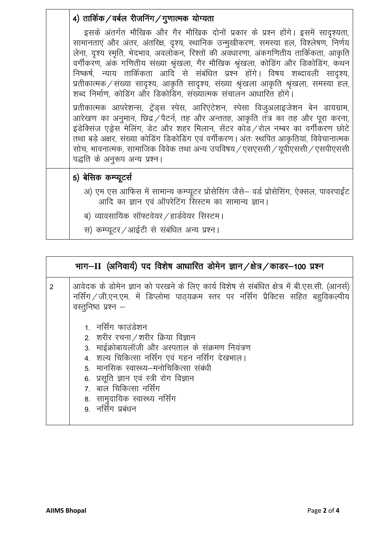| 4) तार्किक / वर्बल रीजनिंग / गुणात्मक योग्यता                                                                                                                                                                                                                                                                                                                                                                                                                                                                                                                                                     |
|---------------------------------------------------------------------------------------------------------------------------------------------------------------------------------------------------------------------------------------------------------------------------------------------------------------------------------------------------------------------------------------------------------------------------------------------------------------------------------------------------------------------------------------------------------------------------------------------------|
| इसके अंतर्गत मौखिक और गैर मौखिक दोनों प्रकार के प्रश्न होंगे। इसमें सादृश्यता,<br>सामानताएं और अंतर, अंतरिक्ष, दृश्य, स्थानिक उन्मुखीकरण, समस्या हल, विश्लेषण, निर्णय<br>लेना, दृश्य स्मृति, भेदभाव, अवलोकन, रिश्तों की अवधारणा, अंकगणितीय तार्किकता, आकृति<br>वर्गीकरण, अंक गणितीय संख्या श्रृंखला, गैर मौखिक श्रृंखला, कोडिंग और डिकोडिंग, कथन<br>निष्कर्ष, न्याय तार्किकता आदि से संबंधित प्रश्न होंगे। विषय शब्दावली सादृश्य,<br>प्रतीकात्मक / संख्या सादृश्य, आकृति सादृश्य, संख्या श्रृंखला आकृति श्रृंखला, समस्या हल,<br>शब्द निर्माण, कोडिंग और डिकोडिंग, संख्यात्मक संचालन आधारित होंगे। |
| प्रतीकात्मक आपरेशन्स, ट्रेंड्स स्पेस, आरिएंटेशन, स्पेसा विजुअलाइजेशन बेन डायग्राम,<br>आरेखण का अनुमान, छिद्र / पैटर्न, तह और अन्ततह, आकृति तंत्र का तह और पूरा करना,<br>इंडेक्सिंज एड्रेस मेलिंग, डेट और शहर मिलान, सेंटर कोड/रोल नम्बर का वर्गीकरण छोटे<br>तथा बड़े अक्षर, संख्या कोडिंग डिकोडिंग एवं वर्गीकरण। अंतः स्थपित आकृतियां, विवेचानात्मक<br>सोच, भावनात्मक, सामाजिक विवेक तथा अन्य उपविषय / एसएससी / यूपीएससी / एसपीएससी<br>पद्धति के अनुरूप अन्य प्रश्न।                                                                                                                              |
| 5) बेसिक कम्प्यूटर्स                                                                                                                                                                                                                                                                                                                                                                                                                                                                                                                                                                              |
| अ) एम एस आफिस में सामान्य कम्प्यूटर प्रोसेसिंग जैसे– वर्ड प्रोसेसिंग, ऐक्सल, पावरपाईंट<br>आदि का ज्ञान एवं ऑपरेटिंग सिस्टम का सामान्य ज्ञान।                                                                                                                                                                                                                                                                                                                                                                                                                                                      |
| ब) व्यावसायिक सॉफ्टवेयर / हार्डवेयर सिस्टम।                                                                                                                                                                                                                                                                                                                                                                                                                                                                                                                                                       |
| स) कम्प्यूटर/आईटी से संबंधित अन्य प्रश्न।                                                                                                                                                                                                                                                                                                                                                                                                                                                                                                                                                         |

| भाग–II (अनिवार्य) पद विशेष आधारित डोमेन ज्ञान/क्षेत्र/काडर–100 प्रश्न |                                                                                                                                                                                                                                                                             |  |  |  |
|-----------------------------------------------------------------------|-----------------------------------------------------------------------------------------------------------------------------------------------------------------------------------------------------------------------------------------------------------------------------|--|--|--|
| $\overline{2}$                                                        | आवेदक के डोमेन ज्ञान को परखने के लिए कार्य विशेष से संबंधित क्षेत्र में बी.एस.सी. (आनर्स)<br>नर्सिंग / जी.एन.एम. में डिप्लोमा पाठ्यक्रम स्तर पर नर्सिंग प्रैक्टिस सहित बहुविकल्पीय<br>वस्तुनिष्ठ प्रश्न –<br>1. नर्सिंग फाउंडेशन<br>2. शरीर रचना / शरीर क्रिया विज्ञान      |  |  |  |
|                                                                       | 3. माईक्रोबायलॉजी और अस्पताल के संक्रमण नियंत्रण<br>4. शल्य चिकित्सा नर्सिंग एवं गहन नर्सिंग देखभाल।<br>5. मानसिक स्वास्थ्य–मनोचिकित्सा संबंधी<br>6. प्रसूति ज्ञान एवं स्त्री रोग विज्ञान<br>7. बाल चिकित्सा नर्सिंग<br>8. सामुदायिक स्वास्थ्य नर्सिंग<br>9 नर्सिंग प्रबंधन |  |  |  |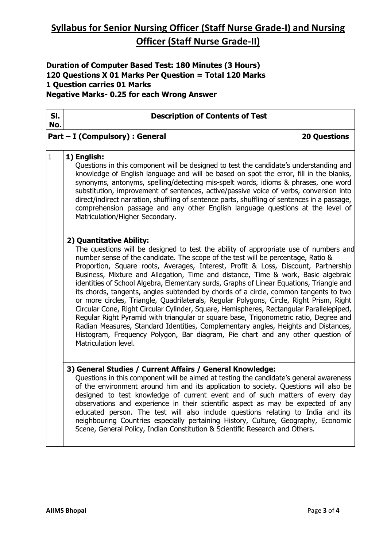## **Syllabus for Senior Nursing Officer (Staff Nurse Grade-I) and Nursing Officer (Staff Nurse Grade-II)**

**Duration of Computer Based Test: 180 Minutes (3 Hours) 120 Questions X 01 Marks Per Question = Total 120 Marks 1 Question carries 01 Marks Negative Marks- 0.25 for each Wrong Answer**

| SI.<br>No.   | <b>Description of Contents of Test</b>                                                                                                                                                                                                                                                                                                                                                                                                                                                                                                                                                                                                                                                                                                                                                                                                                                                                                                                                                                                                              |  |  |
|--------------|-----------------------------------------------------------------------------------------------------------------------------------------------------------------------------------------------------------------------------------------------------------------------------------------------------------------------------------------------------------------------------------------------------------------------------------------------------------------------------------------------------------------------------------------------------------------------------------------------------------------------------------------------------------------------------------------------------------------------------------------------------------------------------------------------------------------------------------------------------------------------------------------------------------------------------------------------------------------------------------------------------------------------------------------------------|--|--|
|              | Part - I (Compulsory) : General<br><b>20 Questions</b>                                                                                                                                                                                                                                                                                                                                                                                                                                                                                                                                                                                                                                                                                                                                                                                                                                                                                                                                                                                              |  |  |
| $\mathbf{1}$ | 1) English:<br>Questions in this component will be designed to test the candidate's understanding and<br>knowledge of English language and will be based on spot the error, fill in the blanks,<br>synonyms, antonyms, spelling/detecting mis-spelt words, idioms & phrases, one word<br>substitution, improvement of sentences, active/passive voice of verbs, conversion into<br>direct/indirect narration, shuffling of sentence parts, shuffling of sentences in a passage,<br>comprehension passage and any other English language questions at the level of<br>Matriculation/Higher Secondary.                                                                                                                                                                                                                                                                                                                                                                                                                                                |  |  |
|              | 2) Quantitative Ability:<br>The questions will be designed to test the ability of appropriate use of numbers and<br>number sense of the candidate. The scope of the test will be percentage, Ratio &<br>Proportion, Square roots, Averages, Interest, Profit & Loss, Discount, Partnership<br>Business, Mixture and Allegation, Time and distance, Time & work, Basic algebraic<br>identities of School Algebra, Elementary surds, Graphs of Linear Equations, Triangle and<br>its chords, tangents, angles subtended by chords of a circle, common tangents to two<br>or more circles, Triangle, Quadrilaterals, Regular Polygons, Circle, Right Prism, Right<br>Circular Cone, Right Circular Cylinder, Square, Hemispheres, Rectangular Parallelepiped,<br>Regular Right Pyramid with triangular or square base, Trigonometric ratio, Degree and<br>Radian Measures, Standard Identities, Complementary angles, Heights and Distances,<br>Histogram, Frequency Polygon, Bar diagram, Pie chart and any other question of<br>Matriculation level. |  |  |
|              | 3) General Studies / Current Affairs / General Knowledge:<br>Questions in this component will be aimed at testing the candidate's general awareness<br>of the environment around him and its application to society. Questions will also be<br>designed to test knowledge of current event and of such matters of every day<br>observations and experience in their scientific aspect as may be expected of any<br>educated person. The test will also include questions relating to India and its<br>neighbouring Countries especially pertaining History, Culture, Geography, Economic<br>Scene, General Policy, Indian Constitution & Scientific Research and Others.                                                                                                                                                                                                                                                                                                                                                                            |  |  |